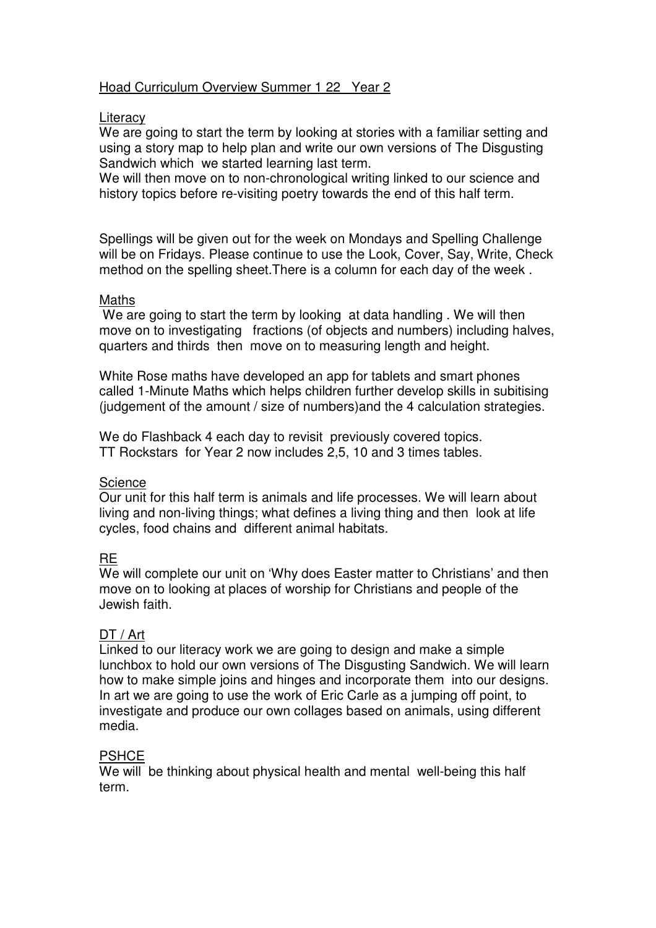## Hoad Curriculum Overview Summer 1 22 Year 2

#### **Literacy**

We are going to start the term by looking at stories with a familiar setting and using a story map to help plan and write our own versions of The Disgusting Sandwich which we started learning last term.

We will then move on to non-chronological writing linked to our science and history topics before re-visiting poetry towards the end of this half term.

Spellings will be given out for the week on Mondays and Spelling Challenge will be on Fridays. Please continue to use the Look, Cover, Say, Write, Check method on the spelling sheet.There is a column for each day of the week .

#### Maths

We are going to start the term by looking at data handling. We will then move on to investigating fractions (of objects and numbers) including halves, quarters and thirds then move on to measuring length and height.

White Rose maths have developed an app for tablets and smart phones called 1-Minute Maths which helps children further develop skills in subitising (judgement of the amount / size of numbers)and the 4 calculation strategies.

We do Flashback 4 each day to revisit previously covered topics. TT Rockstars for Year 2 now includes 2,5, 10 and 3 times tables.

# **Science**

Our unit for this half term is animals and life processes. We will learn about living and non-living things; what defines a living thing and then look at life cycles, food chains and different animal habitats.

#### RE

We will complete our unit on 'Why does Easter matter to Christians' and then move on to looking at places of worship for Christians and people of the Jewish faith.

#### DT / Art

Linked to our literacy work we are going to design and make a simple lunchbox to hold our own versions of The Disgusting Sandwich. We will learn how to make simple joins and hinges and incorporate them into our designs. In art we are going to use the work of Eric Carle as a jumping off point, to investigate and produce our own collages based on animals, using different media.

#### **PSHCE**

We will be thinking about physical health and mental well-being this half term.